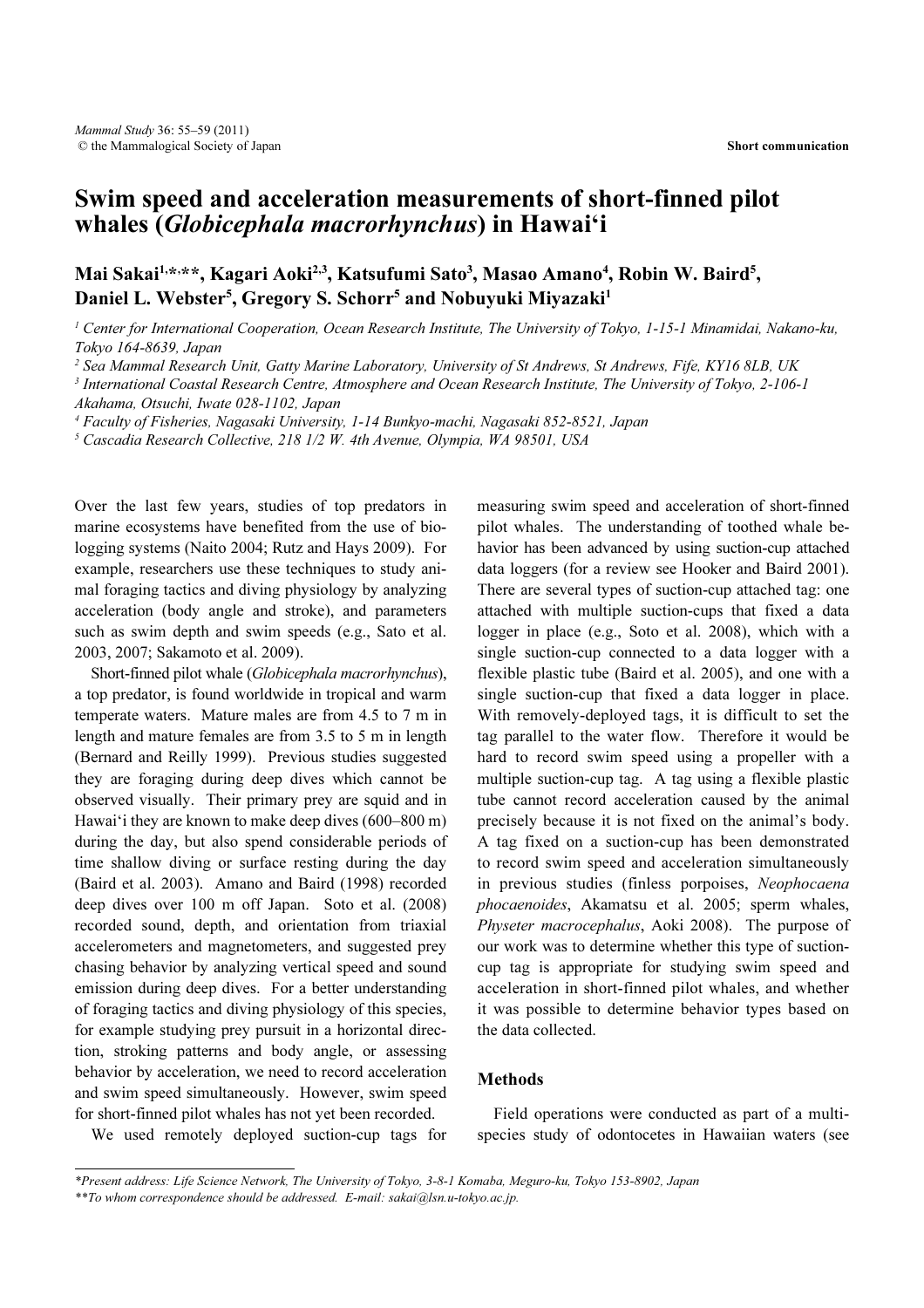# Swim speed and acceleration measurements of short-finned pilot whales (Globicephala macrorhynchus) in Hawai'i

## Mai Sakai<sup>1,\*,\*\*</sup>, Kagari Aoki<sup>2,3</sup>, Katsufumi Sato<sup>3</sup>, Masao Amano<sup>4</sup>, Robin W. Baird<sup>5</sup>, Daniel L. Webster<sup>5</sup>, Gregory S. Schorr<sup>5</sup> and Nobuyuki Miyazaki<sup>1</sup>

<sup>1</sup> Center for International Cooperation, Ocean Research Institute, The University of Tokyo, 1-15-1 Minamidai, Nakano-ku, Tokyo 164-8639, Japan

<sup>2</sup> Sea Mammal Research Unit, Gatty Marine Laboratory, University of St Andrews, St Andrews, Fife, KY16 8LB, UK

<sup>3</sup> International Coastal Research Centre, Atmosphere and Ocean Research Institute, The University of Tokyo, 2-106-1 Akahama, Otsuchi, Iwate 028-1102, Japan

4 Faculty of Fisheries, Nagasaki University, 1-14 Bunkyo-machi, Nagasaki 852-8521, Japan

<sup>5</sup> Cascadia Research Collective, 218 1/2 W. 4th Avenue, Olympia, WA 98501, USA

Over the last few years, studies of top predators in marine ecosystems have benefited from the use of biologging systems (Naito 2004; Rutz and Hays 2009). For example, researchers use these techniques to study animal foraging tactics and diving physiology by analyzing acceleration (body angle and stroke), and parameters such as swim depth and swim speeds (e.g., Sato et al. 2003, 2007; Sakamoto et al. 2009).

Short-finned pilot whale (Globicephala macrorhynchus), a top predator, is found worldwide in tropical and warm temperate waters. Mature males are from 4.5 to 7 m in length and mature females are from 3.5 to 5 m in length (Bernard and Reilly 1999). Previous studies suggested they are foraging during deep dives which cannot be observed visually. Their primary prey are squid and in Hawai'i they are known to make deep dives (600–800 m) during the day, but also spend considerable periods of time shallow diving or surface resting during the day (Baird et al. 2003). Amano and Baird (1998) recorded deep dives over 100 m off Japan. Soto et al. (2008) recorded sound, depth, and orientation from triaxial accelerometers and magnetometers, and suggested prey chasing behavior by analyzing vertical speed and sound emission during deep dives. For a better understanding of foraging tactics and diving physiology of this species, for example studying prey pursuit in a horizontal direction, stroking patterns and body angle, or assessing behavior by acceleration, we need to record acceleration and swim speed simultaneously. However, swim speed for short-finned pilot whales has not yet been recorded.

measuring swim speed and acceleration of short-finned pilot whales. The understanding of toothed whale behavior has been advanced by using suction-cup attached data loggers (for a review see Hooker and Baird 2001). There are several types of suction-cup attached tag: one attached with multiple suction-cups that fixed a data logger in place (e.g., Soto et al. 2008), which with a single suction-cup connected to a data logger with a flexible plastic tube (Baird et al. 2005), and one with a single suction-cup that fixed a data logger in place. With removely-deployed tags, it is difficult to set the tag parallel to the water flow. Therefore it would be hard to record swim speed using a propeller with a multiple suction-cup tag. A tag using a flexible plastic tube cannot record acceleration caused by the animal precisely because it is not fixed on the animal's body. A tag fixed on a suction-cup has been demonstrated to record swim speed and acceleration simultaneously in previous studies (finless porpoises, Neophocaena phocaenoides, Akamatsu et al. 2005; sperm whales, Physeter macrocephalus, Aoki 2008). The purpose of our work was to determine whether this type of suctioncup tag is appropriate for studying swim speed and acceleration in short-finned pilot whales, and whether it was possible to determine behavior types based on the data collected.

### Methods

Field operations were conducted as part of a multispecies study of odontocetes in Hawaiian waters (see

We used remotely deployed suction-cup tags for

<sup>\*</sup>Present address: Life Science Network, The University of Tokyo, 3-8-1 Komaba, Meguro-ku, Tokyo 153-8902, Japan

<sup>\*\*</sup>To whom correspondence should be addressed. E-mail: sakai@lsn.u-tokyo.ac.jp.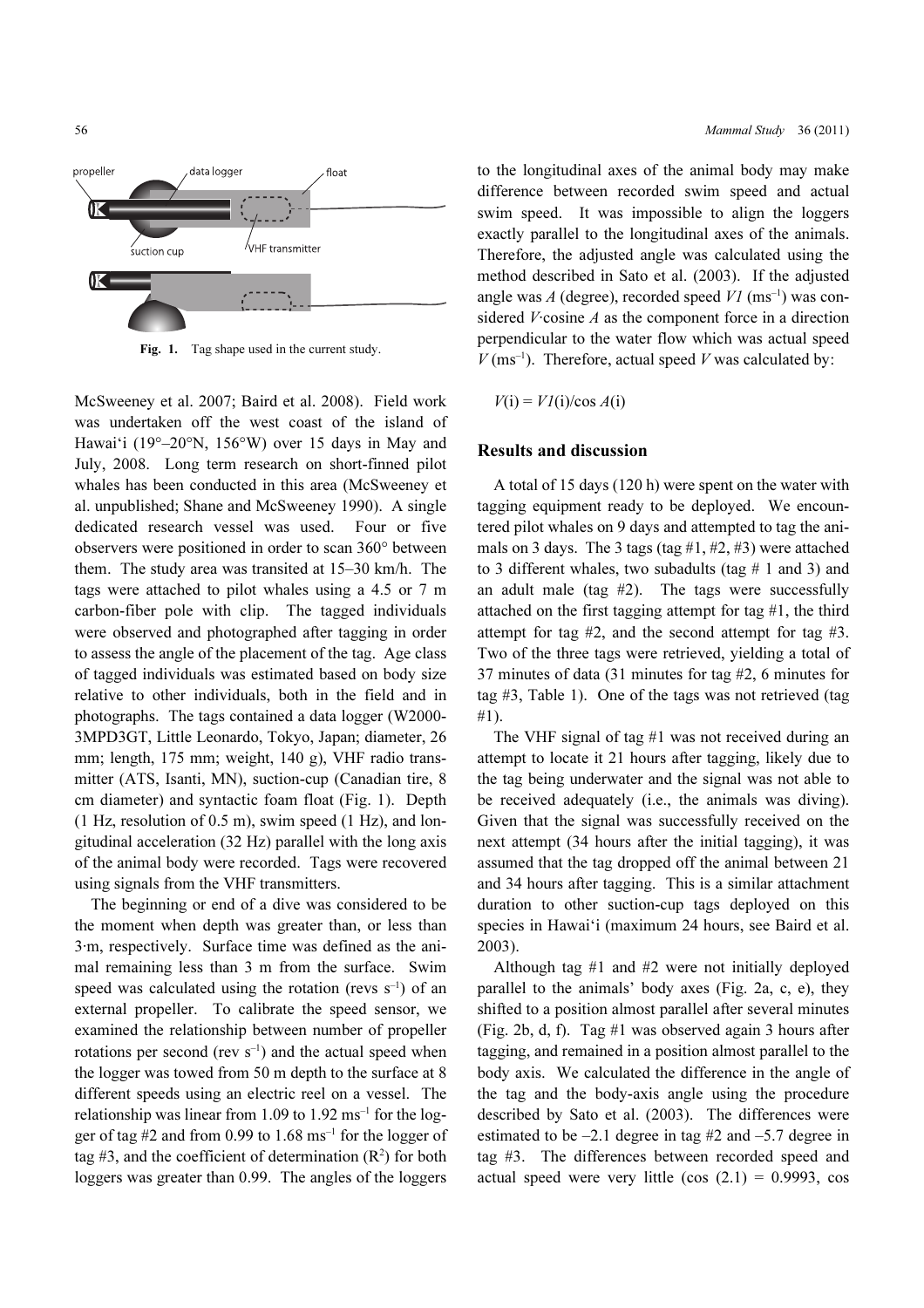

Fig. 1. Tag shape used in the current study.

McSweeney et al. 2007; Baird et al. 2008). Field work was undertaken off the west coast of the island of Hawai'i (19°–20°N, 156°W) over 15 days in May and July, 2008. Long term research on short-finned pilot whales has been conducted in this area (McSweeney et al. unpublished; Shane and McSweeney 1990). A single dedicated research vessel was used. Four or five observers were positioned in order to scan 360° between them. The study area was transited at 15–30 km/h. The tags were attached to pilot whales using a 4.5 or 7 m carbon-fiber pole with clip. The tagged individuals were observed and photographed after tagging in order to assess the angle of the placement of the tag. Age class of tagged individuals was estimated based on body size relative to other individuals, both in the field and in photographs. The tags contained a data logger (W2000- 3MPD3GT, Little Leonardo, Tokyo, Japan; diameter, 26 mm; length, 175 mm; weight, 140 g), VHF radio transmitter (ATS, Isanti, MN), suction-cup (Canadian tire, 8 cm diameter) and syntactic foam float (Fig. 1). Depth (1 Hz, resolution of 0.5 m), swim speed (1 Hz), and longitudinal acceleration (32 Hz) parallel with the long axis of the animal body were recorded. Tags were recovered using signals from the VHF transmitters.

The beginning or end of a dive was considered to be the moment when depth was greater than, or less than 3·m, respectively. Surface time was defined as the animal remaining less than 3 m from the surface. Swim speed was calculated using the rotation (revs  $s^{-1}$ ) of an external propeller. To calibrate the speed sensor, we examined the relationship between number of propeller rotations per second (rev  $s^{-1}$ ) and the actual speed when the logger was towed from 50 m depth to the surface at 8 different speeds using an electric reel on a vessel. The relationship was linear from 1.09 to  $1.92 \text{ ms}^{-1}$  for the logger of tag  $#2$  and from 0.99 to 1.68 ms<sup>-1</sup> for the logger of tag #3, and the coefficient of determination  $(R^2)$  for both loggers was greater than 0.99. The angles of the loggers

to the longitudinal axes of the animal body may make difference between recorded swim speed and actual swim speed. It was impossible to align the loggers exactly parallel to the longitudinal axes of the animals. Therefore, the adjusted angle was calculated using the method described in Sato et al. (2003). If the adjusted angle was A (degree), recorded speed  $VI$  (ms<sup>-1</sup>) was considered *V*·cosine *A* as the component force in a direction perpendicular to the water flow which was actual speed  $V$ (ms<sup>-1</sup>). Therefore, actual speed V was calculated by:

 $V(i) = VI(i)/\cos A(i)$ 

#### Results and discussion

A total of 15 days (120 h) were spent on the water with tagging equipment ready to be deployed. We encountered pilot whales on 9 days and attempted to tag the animals on 3 days. The 3 tags (tag  $#1, #2, #3$ ) were attached to 3 different whales, two subadults (tag  $# 1$  and 3) and an adult male (tag #2). The tags were successfully attached on the first tagging attempt for tag #1, the third attempt for tag #2, and the second attempt for tag #3. Two of the three tags were retrieved, yielding a total of 37 minutes of data (31 minutes for tag #2, 6 minutes for tag #3, Table 1). One of the tags was not retrieved (tag #1).

The VHF signal of tag #1 was not received during an attempt to locate it 21 hours after tagging, likely due to the tag being underwater and the signal was not able to be received adequately (i.e., the animals was diving). Given that the signal was successfully received on the next attempt (34 hours after the initial tagging), it was assumed that the tag dropped off the animal between 21 and 34 hours after tagging. This is a similar attachment duration to other suction-cup tags deployed on this species in Hawai'i (maximum 24 hours, see Baird et al. 2003).

Although tag #1 and #2 were not initially deployed parallel to the animals' body axes (Fig. 2a, c, e), they shifted to a position almost parallel after several minutes (Fig. 2b, d, f). Tag #1 was observed again 3 hours after tagging, and remained in a position almost parallel to the body axis. We calculated the difference in the angle of the tag and the body-axis angle using the procedure described by Sato et al. (2003). The differences were estimated to be –2.1 degree in tag #2 and –5.7 degree in tag #3. The differences between recorded speed and actual speed were very little  $(cos (2.1) = 0.9993, cos$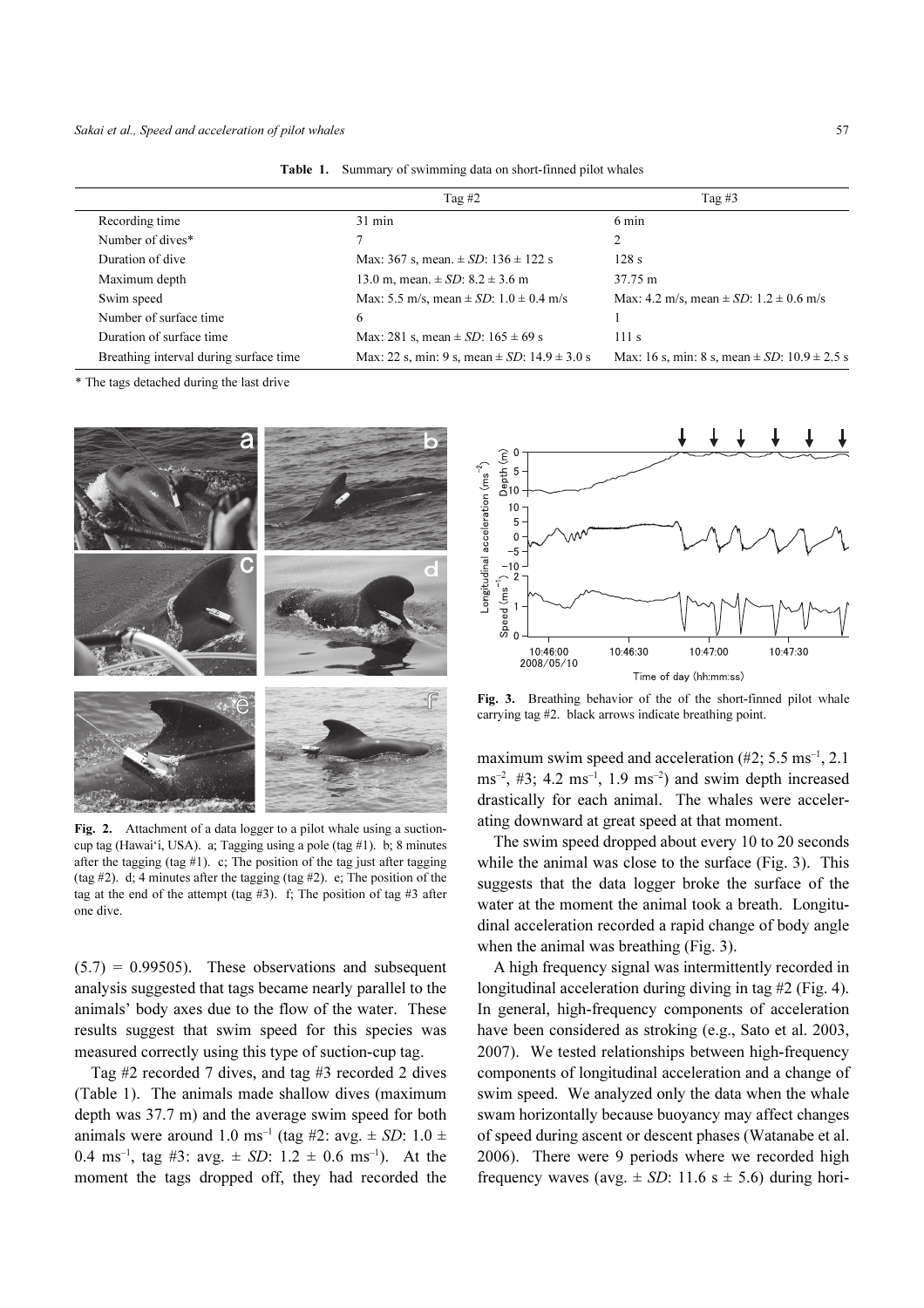|                                        | Tag $#2$                                             | Tag $#3$                                             |
|----------------------------------------|------------------------------------------------------|------------------------------------------------------|
| Recording time                         | $31 \text{ min}$                                     | 6 min                                                |
| Number of dives*                       |                                                      |                                                      |
| Duration of dive                       | Max: 367 s, mean. $\pm SD$ : 136 $\pm$ 122 s         | 128s                                                 |
| Maximum depth                          | 13.0 m, mean. $\pm SD$ : 8.2 $\pm 3.6$ m             | 37.75 m                                              |
| Swim speed                             | Max: 5.5 m/s, mean $\pm$ SD: 1.0 $\pm$ 0.4 m/s       | Max: 4.2 m/s, mean $\pm$ SD: 1.2 $\pm$ 0.6 m/s       |
| Number of surface time                 | 6                                                    |                                                      |
| Duration of surface time               | Max: 281 s, mean $\pm$ <i>SD</i> : 165 $\pm$ 69 s    | 111 s                                                |
| Breathing interval during surface time | Max: 22 s, min: 9 s, mean $\pm$ SD: 14.9 $\pm$ 3.0 s | Max: 16 s, min: 8 s, mean $\pm$ SD: 10.9 $\pm$ 2.5 s |

Table 1. Summary of swimming data on short-finned pilot whales

\* The tags detached during the last drive



Fig. 2. Attachment of a data logger to a pilot whale using a suctioncup tag (Hawai'i, USA). a; Tagging using a pole (tag #1). b; 8 minutes after the tagging (tag #1). c; The position of the tag just after tagging (tag #2). d; 4 minutes after the tagging (tag #2). e; The position of the tag at the end of the attempt (tag #3). f; The position of tag #3 after one dive.

 $(5.7) = 0.99505$ . These observations and subsequent analysis suggested that tags became nearly parallel to the animals' body axes due to the flow of the water. These results suggest that swim speed for this species was measured correctly using this type of suction-cup tag.

Tag #2 recorded 7 dives, and tag #3 recorded 2 dives (Table 1). The animals made shallow dives (maximum depth was 37.7 m) and the average swim speed for both animals were around 1.0 ms<sup>-1</sup> (tag #2: avg.  $\pm$  SD: 1.0  $\pm$ 0.4 ms<sup>-1</sup>, tag #3: avg.  $\pm$  SD: 1.2  $\pm$  0.6 ms<sup>-1</sup>). At the moment the tags dropped off, they had recorded the



Fig. 3. Breathing behavior of the of the short-finned pilot whale carrying tag #2. black arrows indicate breathing point.

maximum swim speed and acceleration  $(\#2; 5.5 \text{ ms}^{-1}, 2.1)$  $\text{ms}^{-2}$ , #3; 4.2 ms<sup>-1</sup>, 1.9 ms<sup>-2</sup>) and swim depth increased drastically for each animal. The whales were accelerating downward at great speed at that moment.

The swim speed dropped about every 10 to 20 seconds while the animal was close to the surface (Fig. 3). This suggests that the data logger broke the surface of the water at the moment the animal took a breath. Longitudinal acceleration recorded a rapid change of body angle when the animal was breathing (Fig. 3).

A high frequency signal was intermittently recorded in longitudinal acceleration during diving in tag #2 (Fig. 4). In general, high-frequency components of acceleration have been considered as stroking (e.g., Sato et al. 2003, 2007). We tested relationships between high-frequency components of longitudinal acceleration and a change of swim speed. We analyzed only the data when the whale swam horizontally because buoyancy may affect changes of speed during ascent or descent phases (Watanabe et al. 2006). There were 9 periods where we recorded high frequency waves (avg.  $\pm$  SD: 11.6 s  $\pm$  5.6) during hori-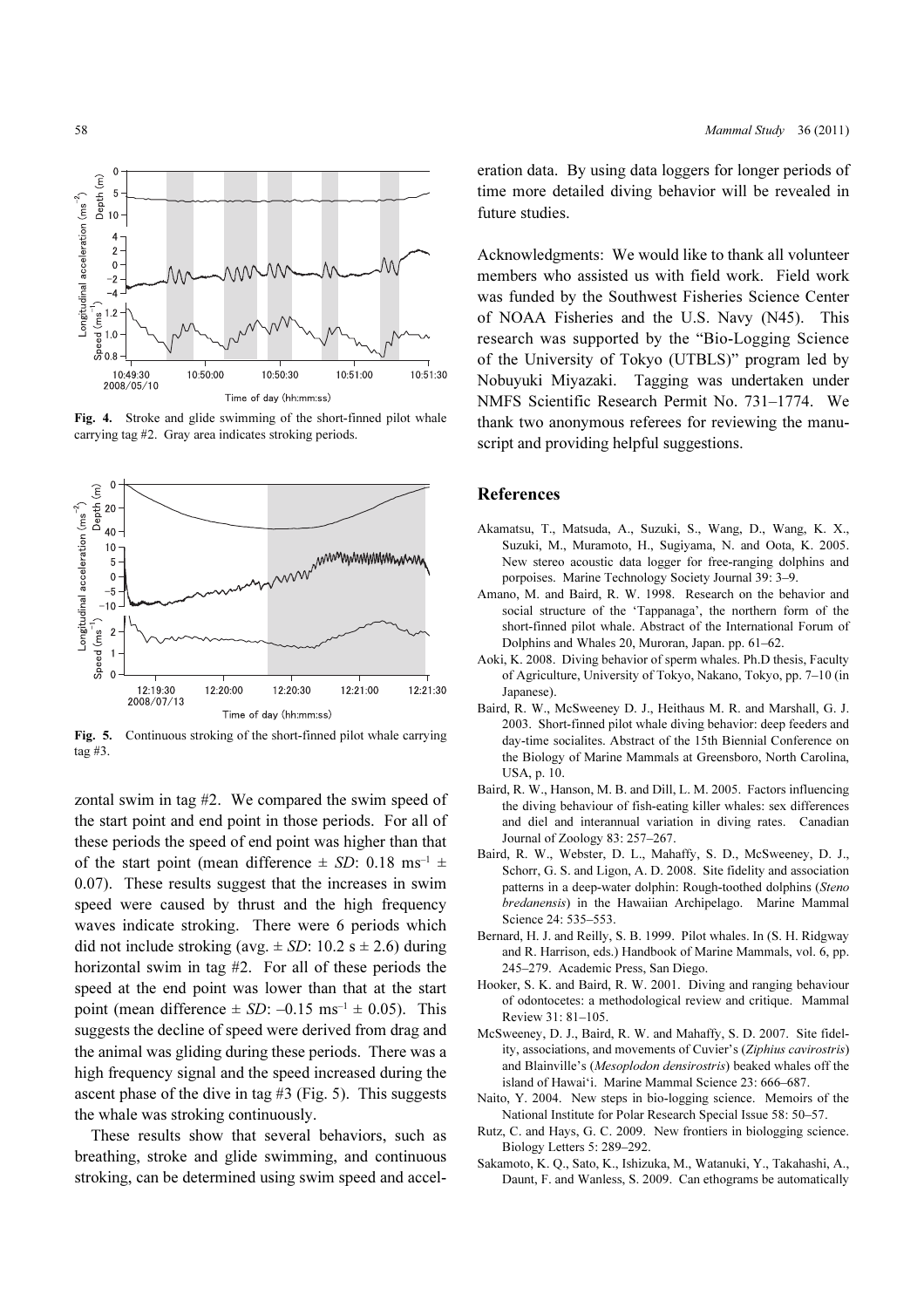

Fig. 4. Stroke and glide swimming of the short-finned pilot whale carrying tag #2. Gray area indicates stroking periods.



Fig. 5. Continuous stroking of the short-finned pilot whale carrying tag #3.

zontal swim in tag #2. We compared the swim speed of the start point and end point in those periods. For all of these periods the speed of end point was higher than that of the start point (mean difference  $\pm$  SD: 0.18 ms<sup>-1</sup>  $\pm$ 0.07). These results suggest that the increases in swim speed were caused by thrust and the high frequency waves indicate stroking. There were 6 periods which did not include stroking (avg.  $\pm$  SD: 10.2 s  $\pm$  2.6) during horizontal swim in tag #2. For all of these periods the speed at the end point was lower than that at the start point (mean difference  $\pm SD$ :  $-0.15$  ms<sup>-1</sup>  $\pm 0.05$ ). This suggests the decline of speed were derived from drag and the animal was gliding during these periods. There was a high frequency signal and the speed increased during the ascent phase of the dive in tag #3 (Fig. 5). This suggests the whale was stroking continuously.

These results show that several behaviors, such as breathing, stroke and glide swimming, and continuous stroking, can be determined using swim speed and acceleration data. By using data loggers for longer periods of time more detailed diving behavior will be revealed in future studies.

Acknowledgments: We would like to thank all volunteer members who assisted us with field work. Field work was funded by the Southwest Fisheries Science Center of NOAA Fisheries and the U.S. Navy (N45). This research was supported by the "Bio-Logging Science of the University of Tokyo (UTBLS)" program led by Nobuyuki Miyazaki. Tagging was undertaken under NMFS Scientific Research Permit No. 731–1774. We thank two anonymous referees for reviewing the manuscript and providing helpful suggestions.

#### References

- Akamatsu, T., Matsuda, A., Suzuki, S., Wang, D., Wang, K. X., Suzuki, M., Muramoto, H., Sugiyama, N. and Oota, K. 2005. New stereo acoustic data logger for free-ranging dolphins and porpoises. Marine Technology Society Journal 39: 3–9.
- Amano, M. and Baird, R. W. 1998. Research on the behavior and social structure of the 'Tappanaga', the northern form of the short-finned pilot whale. Abstract of the International Forum of Dolphins and Whales 20, Muroran, Japan. pp. 61–62.
- Aoki, K. 2008. Diving behavior of sperm whales. Ph.D thesis, Faculty of Agriculture, University of Tokyo, Nakano, Tokyo, pp. 7–10 (in Japanese).
- Baird, R. W., McSweeney D. J., Heithaus M. R. and Marshall, G. J. 2003. Short-finned pilot whale diving behavior: deep feeders and day-time socialites. Abstract of the 15th Biennial Conference on the Biology of Marine Mammals at Greensboro, North Carolina, USA, p. 10.
- Baird, R. W., Hanson, M. B. and Dill, L. M. 2005. Factors influencing the diving behaviour of fish-eating killer whales: sex differences and diel and interannual variation in diving rates. Canadian Journal of Zoology 83: 257–267.
- Baird, R. W., Webster, D. L., Mahaffy, S. D., McSweeney, D. J., Schorr, G. S. and Ligon, A. D. 2008. Site fidelity and association patterns in a deep-water dolphin: Rough-toothed dolphins (Steno bredanensis) in the Hawaiian Archipelago. Marine Mammal Science 24: 535–553.
- Bernard, H. J. and Reilly, S. B. 1999. Pilot whales. In (S. H. Ridgway and R. Harrison, eds.) Handbook of Marine Mammals, vol. 6, pp. 245–279. Academic Press, San Diego.
- Hooker, S. K. and Baird, R. W. 2001. Diving and ranging behaviour of odontocetes: a methodological review and critique. Mammal Review 31: 81–105.
- McSweeney, D. J., Baird, R. W. and Mahaffy, S. D. 2007. Site fidelity, associations, and movements of Cuvier's (Ziphius cavirostris) and Blainville's (Mesoplodon densirostris) beaked whales off the island of Hawai'i. Marine Mammal Science 23: 666–687.
- Naito, Y. 2004. New steps in bio-logging science. Memoirs of the National Institute for Polar Research Special Issue 58: 50–57.
- Rutz, C. and Hays, G. C. 2009. New frontiers in biologging science. Biology Letters 5: 289–292.
- Sakamoto, K. Q., Sato, K., Ishizuka, M., Watanuki, Y., Takahashi, A., Daunt, F. and Wanless, S. 2009. Can ethograms be automatically